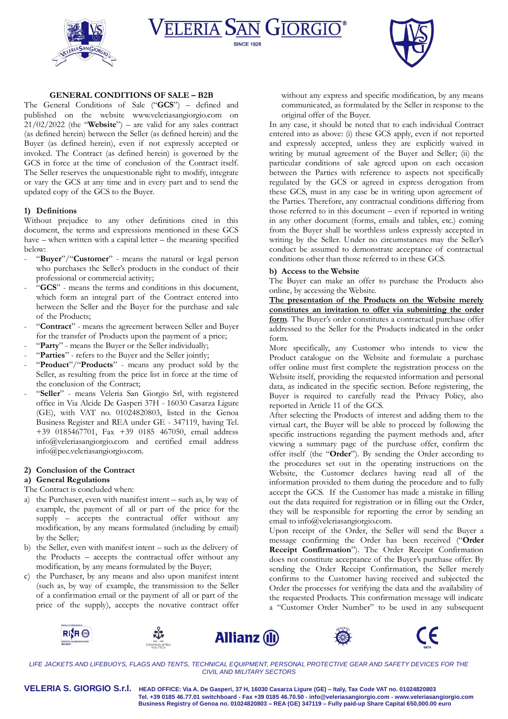





### **GENERAL CONDITIONS OF SALE – B2B**

The General Conditions of Sale ("**GCS**") – defined and published on the website [www.veleriasangiorgio.com](http://www.veleriasangiorgio.com/) on 21/02/2022 (the "**Website**") – are valid for any sales contract (as defined herein) between the Seller (as defined herein) and the Buyer (as defined herein), even if not expressly accepted or invoked. The Contract (as defined herein) is governed by the GCS in force at the time of conclusion of the Contract itself. The Seller reserves the unquestionable right to modify, integrate or vary the GCS at any time and in every part and to send the updated copy of the GCS to the Buyer.

## **1) Definitions**

Without prejudice to any other definitions cited in this document, the terms and expressions mentioned in these GCS have – when written with a capital letter – the meaning specified below:

- "**Buyer**"/"**Customer**" means the natural or legal person who purchases the Seller's products in the conduct of their professional or commercial activity;
- "**GCS**" means the terms and conditions in this document, which form an integral part of the Contract entered into between the Seller and the Buyer for the purchase and sale of the Products;
- "Contract" means the agreement between Seller and Buyer for the transfer of Products upon the payment of a price;
- "Party" means the Buyer or the Seller individually;
- "Parties" refers to the Buyer and the Seller jointly;
- "**Product**"/"**Products**" means any product sold by the Seller, as resulting from the price list in force at the time of the conclusion of the Contract;
- "Seller" means Veleria San Giorgio Srl, with registered office in Via Alcide De Gasperi 37H - 16030 Casarza Ligure (GE), with VAT no. 01024820803, listed in the Genoa Business Register and REA under GE - 347119, having Tel. +39 0185467701, Fax +39 0185 467050, email address info@veleriasangiorgio.com and certified email address [info@pec.veleriasangiorgio.com.](mailto:info@pec.veleriasangiorgio.com)

### **2) Conclusion of the Contract**

# **a) General Regulations**

- The Contract is concluded when:
- a) the Purchaser, even with manifest intent such as, by way of example, the payment of all or part of the price for the supply – accepts the contractual offer without any modification, by any means formulated (including by email) by the Seller;
- b) the Seller, even with manifest intent such as the delivery of the Products – accepts the contractual offer without any modification, by any means formulated by the Buyer;
- c) the Purchaser, by any means and also upon manifest intent (such as, by way of example, the transmission to the Seller of a confirmation email or the payment of all or part of the price of the supply), accepts the novative contract offer

without any express and specific modification, by any means communicated, as formulated by the Seller in response to the original offer of the Buyer.

In any case, it should be noted that to each individual Contract entered into as above: (i) these GCS apply, even if not reported and expressly accepted, unless they are explicitly waived in writing by mutual agreement of the Buyer and Seller; (ii) the particular conditions of sale agreed upon on each occasion between the Parties with reference to aspects not specifically regulated by the GCS or agreed in express derogation from these GCS, must in any case be in writing upon agreement of the Parties. Therefore, any contractual conditions differing from those referred to in this document – even if reported in writing in any other document (forms, emails and tables, etc.) coming from the Buyer shall be worthless unless expressly accepted in writing by the Seller. Under no circumstances may the Seller's conduct be assumed to demonstrate acceptance of contractual conditions other than those referred to in these GCS.

### **b) Access to the Website**

The Buyer can make an offer to purchase the Products also online, by accessing the Website.

**The presentation of the Products on the Website merely constitutes an invitation to offer via submitting the order form**. The Buyer's order constitutes a contractual purchase offer addressed to the Seller for the Products indicated in the order form.

More specifically, any Customer who intends to view the Product catalogue on the Website and formulate a purchase offer online must first complete the registration process on the Website itself, providing the requested information and personal data, as indicated in the specific section. Before registering, the Buyer is required to carefully read the Privacy Policy, also reported in Article 11 of the GCS.

After selecting the Products of interest and adding them to the virtual cart, the Buyer will be able to proceed by following the specific instructions regarding the payment methods and, after viewing a summary page of the purchase offer, confirm the offer itself (the "**Order**"). By sending the Order according to the procedures set out in the operating instructions on the Website, the Customer declares having read all of the information provided to them during the procedure and to fully accept the GCS. If the Customer has made a mistake in filling out the data required for registration or in filling out the Order, they will be responsible for reporting the error by sending an email to info@veleriasangiorgio.com.

Upon receipt of the Order, the Seller will send the Buyer a message confirming the Order has been received ("**Order Receipt Confirmation**"). The Order Receipt Confirmation does not constitute acceptance of the Buyer's purchase offer. By sending the Order Receipt Confirmation, the Seller merely confirms to the Customer having received and subjected the Order the processes for verifying the data and the availability of the requested Products. This confirmation message will indicate a "Customer Order Number" to be used in any subsequent



*LIFE JACKETS AND LIFEBUOYS, FLAGS AND TENTS, TECHNICAL EQUIPMENT, PERSONAL PROTECTIVE GEAR AND SAFETY DEVICES FOR THE CIVIL AND MILITARY SECTORS*

**VELERIA S. GIORGIO S.r.l. HEAD OFFICE: Via A. De Gasperi, 37 H, 16030 Casarza Ligure (GE) – Italy, Tax Code VAT no. 01024820803 Tel. +39 0185 46.77.01 switchboard - Fax +39 0185 46.70.50 - [info@veleriasangiorgio.com](mailto:info@veleriasangiorgio.com) - [www.veleriasangiorgio.com](http://www.veleriasangiorgio.com/) Business Registry of Genoa no. 01024820803 – REA (GE) 347119 – Fully paid-up Share Capital 650,000.00 euro**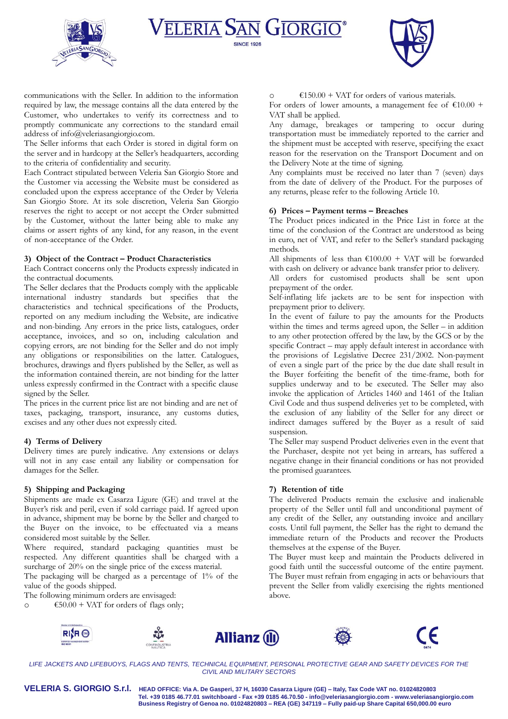





communications with the Seller. In addition to the information required by law, the message contains all the data entered by the Customer, who undertakes to verify its correctness and to promptly communicate any corrections to the standard email address of [info@veleriasangiorgio.com.](mailto:info@veleriasangiorgio.com)

The Seller informs that each Order is stored in digital form on the server and in hardcopy at the Seller's headquarters, according to the criteria of confidentiality and security.

Each Contract stipulated between Veleria San Giorgio Store and the Customer via accessing the Website must be considered as concluded upon the express acceptance of the Order by Veleria San Giorgio Store. At its sole discretion, Veleria San Giorgio reserves the right to accept or not accept the Order submitted by the Customer, without the latter being able to make any claims or assert rights of any kind, for any reason, in the event of non-acceptance of the Order.

## **3) Object of the Contract – Product Characteristics**

Each Contract concerns only the Products expressly indicated in the contractual documents.

The Seller declares that the Products comply with the applicable international industry standards but specifies that the characteristics and technical specifications of the Products, reported on any medium including the Website, are indicative and non-binding. Any errors in the price lists, catalogues, order acceptance, invoices, and so on, including calculation and copying errors, are not binding for the Seller and do not imply any obligations or responsibilities on the latter. Catalogues, brochures, drawings and flyers published by the Seller, as well as the information contained therein, are not binding for the latter unless expressly confirmed in the Contract with a specific clause signed by the Seller.

The prices in the current price list are not binding and are net of taxes, packaging, transport, insurance, any customs duties, excises and any other dues not expressly cited.

## **4) Terms of Delivery**

Delivery times are purely indicative. Any extensions or delays will not in any case entail any liability or compensation for damages for the Seller.

### **5) Shipping and Packaging**

Shipments are made ex Casarza Ligure (GE) and travel at the Buyer's risk and peril, even if sold carriage paid. If agreed upon in advance, shipment may be borne by the Seller and charged to the Buyer on the invoice, to be effectuated via a means considered most suitable by the Seller.

Where required, standard packaging quantities must be respected. Any different quantities shall be charged with a surcharge of  $20\%$  on the single price of the excess material.

The packaging will be charged as a percentage of 1% of the value of the goods shipped.

The following minimum orders are envisaged:

 $\epsilon$  650.00 + VAT for orders of flags only;

 $€150.00 + \text{VAT}$  for orders of various materials.

For orders of lower amounts, a management fee of  $\text{\textsterling}10.00$  + VAT shall be applied.

Any damage, breakages or tampering to occur during transportation must be immediately reported to the carrier and the shipment must be accepted with reserve, specifying the exact reason for the reservation on the Transport Document and on the Delivery Note at the time of signing.

Any complaints must be received no later than 7 (seven) days from the date of delivery of the Product. For the purposes of any returns, please refer to the following Article 10.

### **6) Prices – Payment terms – Breaches**

The Product prices indicated in the Price List in force at the time of the conclusion of the Contract are understood as being in euro, net of VAT, and refer to the Seller's standard packaging methods.

All shipments of less than  $€100.00 + VAT$  will be forwarded with cash on delivery or advance bank transfer prior to delivery.

All orders for customised products shall be sent upon prepayment of the order.

Self-inflating life jackets are to be sent for inspection with prepayment prior to delivery.

In the event of failure to pay the amounts for the Products within the times and terms agreed upon, the Seller – in addition to any other protection offered by the law, by the GCS or by the specific Contract – may apply default interest in accordance with the provisions of Legislative Decree 231/2002. Non-payment of even a single part of the price by the due date shall result in the Buyer forfeiting the benefit of the time-frame, both for supplies underway and to be executed. The Seller may also invoke the application of Articles 1460 and 1461 of the Italian Civil Code and thus suspend deliveries yet to be completed, with the exclusion of any liability of the Seller for any direct or indirect damages suffered by the Buyer as a result of said suspension.

The Seller may suspend Product deliveries even in the event that the Purchaser, despite not yet being in arrears, has suffered a negative change in their financial conditions or has not provided the promised guarantees.

## **7) Retention of title**

The delivered Products remain the exclusive and inalienable property of the Seller until full and unconditional payment of any credit of the Seller, any outstanding invoice and ancillary costs. Until full payment, the Seller has the right to demand the immediate return of the Products and recover the Products themselves at the expense of the Buyer.

The Buyer must keep and maintain the Products delivered in good faith until the successful outcome of the entire payment. The Buyer must refrain from engaging in acts or behaviours that prevent the Seller from validly exercising the rights mentioned above.











*LIFE JACKETS AND LIFEBUOYS, FLAGS AND TENTS, TECHNICAL EQUIPMENT, PERSONAL PROTECTIVE GEAR AND SAFETY DEVICES FOR THE CIVIL AND MILITARY SECTORS*

**VELERIA S. GIORGIO S.r.l. HEAD OFFICE: Via A. De Gasperi, 37 H, 16030 Casarza Ligure (GE) – Italy, Tax Code VAT no. 01024820803 Tel. +39 0185 46.77.01 switchboard - Fax +39 0185 46.70.50 - [info@veleriasangiorgio.com](mailto:info@veleriasangiorgio.com) - [www.veleriasangiorgio.com](http://www.veleriasangiorgio.com/) Business Registry of Genoa no. 01024820803 – REA (GE) 347119 – Fully paid-up Share Capital 650,000.00 euro**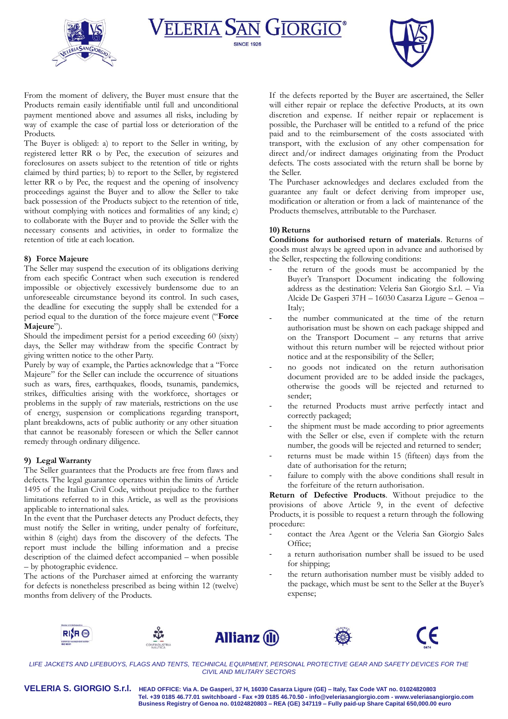





From the moment of delivery, the Buyer must ensure that the Products remain easily identifiable until full and unconditional payment mentioned above and assumes all risks, including by way of example the case of partial loss or deterioration of the Products.

The Buyer is obliged: a) to report to the Seller in writing, by registered letter RR o by Pec, the execution of seizures and foreclosures on assets subject to the retention of title or rights claimed by third parties; b) to report to the Seller, by registered letter RR o by Pec, the request and the opening of insolvency proceedings against the Buyer and to allow the Seller to take back possession of the Products subject to the retention of title, without complying with notices and formalities of any kind; c) to collaborate with the Buyer and to provide the Seller with the necessary consents and activities, in order to formalize the retention of title at each location.

## **8) Force Majeure**

The Seller may suspend the execution of its obligations deriving from each specific Contract when such execution is rendered impossible or objectively excessively burdensome due to an unforeseeable circumstance beyond its control. In such cases, the deadline for executing the supply shall be extended for a period equal to the duration of the force majeure event ("**Force Majeure**").

Should the impediment persist for a period exceeding 60 (sixty) days, the Seller may withdraw from the specific Contract by giving written notice to the other Party.

Purely by way of example, the Parties acknowledge that a "Force Majeure" for the Seller can include the occurrence of situations such as wars, fires, earthquakes, floods, tsunamis, pandemics, strikes, difficulties arising with the workforce, shortages or problems in the supply of raw materials, restrictions on the use of energy, suspension or complications regarding transport, plant breakdowns, acts of public authority or any other situation that cannot be reasonably foreseen or which the Seller cannot remedy through ordinary diligence.

## **9) Legal Warranty**

The Seller guarantees that the Products are free from flaws and defects. The legal guarantee operates within the limits of Article 1495 of the Italian Civil Code, without prejudice to the further limitations referred to in this Article, as well as the provisions applicable to international sales.

In the event that the Purchaser detects any Product defects, they must notify the Seller in writing, under penalty of forfeiture, within 8 (eight) days from the discovery of the defects. The report must include the billing information and a precise description of the claimed defect accompanied – when possible – by photographic evidence.

The actions of the Purchaser aimed at enforcing the warranty for defects is nonetheless prescribed as being within 12 (twelve) months from delivery of the Products.

If the defects reported by the Buyer are ascertained, the Seller will either repair or replace the defective Products, at its own discretion and expense. If neither repair or replacement is possible, the Purchaser will be entitled to a refund of the price paid and to the reimbursement of the costs associated with transport, with the exclusion of any other compensation for direct and/or indirect damages originating from the Product defects. The costs associated with the return shall be borne by the Seller.

The Purchaser acknowledges and declares excluded from the guarantee any fault or defect deriving from improper use, modification or alteration or from a lack of maintenance of the Products themselves, attributable to the Purchaser.

## **10)** Returns

**Conditions for authorised return of materials**. Returns of goods must always be agreed upon in advance and authorised by the Seller, respecting the following conditions:

- the return of the goods must be accompanied by the Buyer's Transport Document indicating the following address as the destination: Veleria San Giorgio S.r.l. – Via Alcide De Gasperi 37H – 16030 Casarza Ligure – Genoa – Italy;
- the number communicated at the time of the return authorisation must be shown on each package shipped and on the Transport Document – any returns that arrive without this return number will be rejected without prior notice and at the responsibility of the Seller;
- no goods not indicated on the return authorisation document provided are to be added inside the packages, otherwise the goods will be rejected and returned to sender;
- the returned Products must arrive perfectly intact and correctly packaged;
- the shipment must be made according to prior agreements with the Seller or else, even if complete with the return number, the goods will be rejected and returned to sender;
- returns must be made within 15 (fifteen) days from the date of authorisation for the return;
- failure to comply with the above conditions shall result in the forfeiture of the return authorisation.

**Return of Defective Products**. Without prejudice to the provisions of above Article 9, in the event of defective Products, it is possible to request a return through the following procedure:

- contact the Area Agent or the Veleria San Giorgio Sales Office;
- a return authorisation number shall be issued to be used for shipping;
- the return authorisation number must be visibly added to the package, which must be sent to the Seller at the Buyer's expense;











*LIFE JACKETS AND LIFEBUOYS, FLAGS AND TENTS, TECHNICAL EQUIPMENT, PERSONAL PROTECTIVE GEAR AND SAFETY DEVICES FOR THE CIVIL AND MILITARY SECTORS*

**VELERIA S. GIORGIO S.r.l. HEAD OFFICE: Via A. De Gasperi, 37 H, 16030 Casarza Ligure (GE) – Italy, Tax Code VAT no. 01024820803 Tel. +39 0185 46.77.01 switchboard - Fax +39 0185 46.70.50 - [info@veleriasangiorgio.com](mailto:info@veleriasangiorgio.com) - [www.veleriasangiorgio.com](http://www.veleriasangiorgio.com/) Business Registry of Genoa no. 01024820803 – REA (GE) 347119 – Fully paid-up Share Capital 650,000.00 euro**